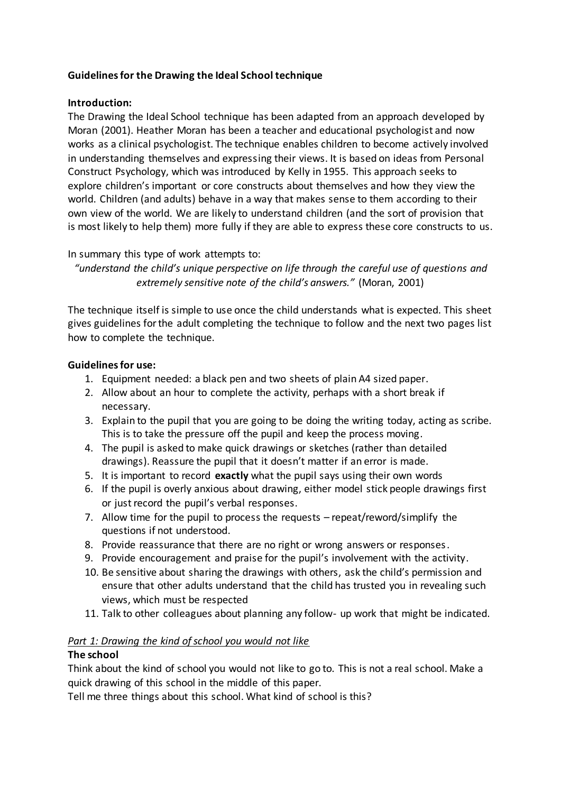# **Guidelines for the Drawing the Ideal School technique**

#### **Introduction:**

The Drawing the Ideal School technique has been adapted from an approach developed by Moran (2001). Heather Moran has been a teacher and educational psychologist and now works as a clinical psychologist. The technique enables children to become actively involved in understanding themselves and expressing their views. It is based on ideas from Personal Construct Psychology, which was introduced by Kelly in 1955. This approach seeks to explore children's important or core constructs about themselves and how they view the world. Children (and adults) behave in a way that makes sense to them according to their own view of the world. We are likely to understand children (and the sort of provision that is most likely to help them) more fully if they are able to express these core constructs to us.

### In summary this type of work attempts to:

"understand the child's unique perspective on life through the careful use of questions and *extremely sensitive note of the child's answers."* (Moran, 2001)

The technique itself is simple to use once the child understands what is expected. This sheet gives guidelines for the adult completing the technique to follow and the next two pages list how to complete the technique.

### **Guidelines for use:**

- 1. Equipment needed: a black pen and two sheets of plain A4 sized paper.
- 2. Allow about an hour to complete the activity, perhaps with a short break if necessary.
- 3. Explain to the pupil that you are going to be doing the writing today, acting as scribe. This is to take the pressure off the pupil and keep the process moving.
- 4. The pupil is asked to make quick drawings or sketches (rather than detailed drawings). Reassure the pupil that it doesn't matter if an error is made.
- 5. It is important to record **exactly** what the pupil says using their own words
- 6. If the pupil is overly anxious about drawing, either model stick people drawings first or just record the pupil's verbal responses.
- 7. Allow time for the pupil to process the requests repeat/reword/simplify the questions if not understood.
- 8. Provide reassurance that there are no right or wrong answers or responses.
- 9. Provide encouragement and praise for the pupil's involvement with the activity.
- 10. Be sensitive about sharing the drawings with others, ask the child's permission and ensure that other adults understand that the child has trusted you in revealing such views, which must be respected
- 11. Talk to other colleagues about planning any follow- up work that might be indicated.

# *Part 1: Drawing the kind of school you would not like*

# **The school**

Think about the kind of school you would not like to go to. This is not a real school. Make a quick drawing of this school in the middle of this paper.

Tell me three things about this school. What kind of school is this?